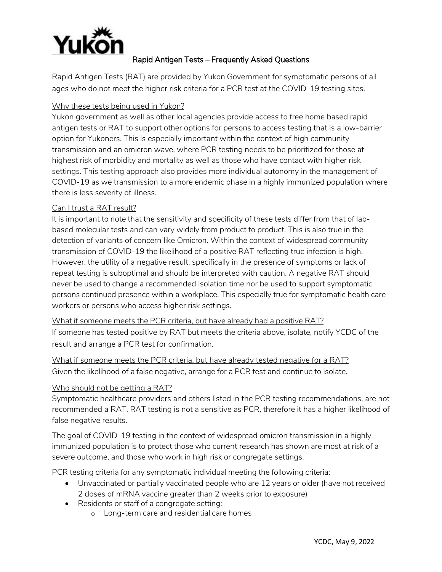

## Rapid Antigen Tests – Frequently Asked Questions

Rapid Antigen Tests (RAT) are provided by Yukon Government for symptomatic persons of all ages who do not meet the higher risk criteria for a PCR test at the COVID-19 testing sites.

## Why these tests being used in Yukon?

Yukon government as well as other local agencies provide access to free home based rapid antigen tests or RAT to support other options for persons to access testing that is a low-barrier option for Yukoners. This is especially important within the context of high community transmission and an omicron wave, where PCR testing needs to be prioritized for those at highest risk of morbidity and mortality as well as those who have contact with higher risk settings. This testing approach also provides more individual autonomy in the management of COVID-19 as we transmission to a more endemic phase in a highly immunized population where there is less severity of illness.

## Can I trust a RAT result?

It is important to note that the sensitivity and specificity of these tests differ from that of labbased molecular tests and can vary widely from product to product. This is also true in the detection of variants of concern like Omicron. Within the context of widespread community transmission of COVID-19 the likelihood of a positive RAT reflecting true infection is high. However, the utility of a negative result, specifically in the presence of symptoms or lack of repeat testing is suboptimal and should be interpreted with caution. A negative RAT should never be used to change a recommended isolation time nor be used to support symptomatic persons continued presence within a workplace. This especially true for symptomatic health care workers or persons who access higher risk settings.

What if someone meets the PCR criteria, but have already had a positive RAT? If someone has tested positive by RAT but meets the criteria above, isolate, notify YCDC of the result and arrange a PCR test for confirmation.

What if someone meets the PCR criteria, but have already tested negative for a RAT? Given the likelihood of a false negative, arrange for a PCR test and continue to isolate.

## Who should not be getting a RAT?

Symptomatic healthcare providers and others listed in the PCR testing recommendations, are not recommended a RAT. RAT testing is not a sensitive as PCR, therefore it has a higher likelihood of false negative results.

The goal of COVID-19 testing in the context of widespread omicron transmission in a highly immunized population is to protect those who current research has shown are most at risk of a severe outcome, and those who work in high risk or congregate settings.

PCR testing criteria for any symptomatic individual meeting the following criteria:

- Unvaccinated or partially vaccinated people who are 12 years or older (have not received 2 doses of mRNA vaccine greater than 2 weeks prior to exposure)
- Residents or staff of a congregate setting:
	- o Long-term care and residential care homes